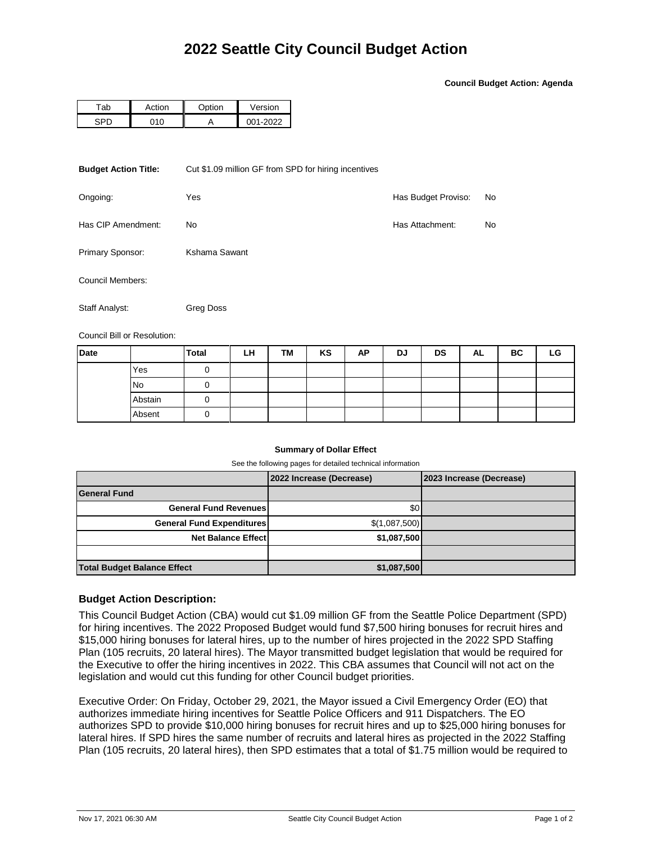**Council Budget Action: Agenda**

| ab | rtinn، | $\sim$ tion | Version |  |  |
|----|--------|-------------|---------|--|--|
|    |        |             | ררחר.   |  |  |

| <b>Budget Action Title:</b> | Cut \$1.09 million GF from SPD for hiring incentives |                     |    |  |  |  |  |
|-----------------------------|------------------------------------------------------|---------------------|----|--|--|--|--|
| Ongoing:                    | Yes                                                  | Has Budget Proviso: | No |  |  |  |  |
| Has CIP Amendment:          | Has Attachment:                                      | No                  |    |  |  |  |  |
| Primary Sponsor:            | Kshama Sawant                                        |                     |    |  |  |  |  |
| Council Members:            |                                                      |                     |    |  |  |  |  |
| Staff Analyst:              | Greg Doss                                            |                     |    |  |  |  |  |

Council Bill or Resolution:

| <b>Date</b> |           | <b>Total</b> | LH | TM | KS | AP | DJ | <b>DS</b> | AL | BC | LG |
|-------------|-----------|--------------|----|----|----|----|----|-----------|----|----|----|
|             | Yes       |              |    |    |    |    |    |           |    |    |    |
|             | <b>No</b> |              |    |    |    |    |    |           |    |    |    |
|             | Abstain   |              |    |    |    |    |    |           |    |    |    |
|             | Absent    |              |    |    |    |    |    |           |    |    |    |

## **Summary of Dollar Effect**

See the following pages for detailed technical information

|                                    | 2022 Increase (Decrease) | 2023 Increase (Decrease) |
|------------------------------------|--------------------------|--------------------------|
| <b>General Fund</b>                |                          |                          |
| <b>General Fund Revenues</b>       | \$0                      |                          |
| <b>General Fund Expenditures</b>   | \$(1,087,500)            |                          |
| <b>Net Balance Effect</b>          | \$1,087,500              |                          |
|                                    |                          |                          |
| <b>Total Budget Balance Effect</b> | \$1,087,500              |                          |

## **Budget Action Description:**

This Council Budget Action (CBA) would cut \$1.09 million GF from the Seattle Police Department (SPD) for hiring incentives. The 2022 Proposed Budget would fund \$7,500 hiring bonuses for recruit hires and \$15,000 hiring bonuses for lateral hires, up to the number of hires projected in the 2022 SPD Staffing Plan (105 recruits, 20 lateral hires). The Mayor transmitted budget legislation that would be required for the Executive to offer the hiring incentives in 2022. This CBA assumes that Council will not act on the legislation and would cut this funding for other Council budget priorities.

Executive Order: On Friday, October 29, 2021, the Mayor issued a Civil Emergency Order (EO) that authorizes immediate hiring incentives for Seattle Police Officers and 911 Dispatchers. The EO authorizes SPD to provide \$10,000 hiring bonuses for recruit hires and up to \$25,000 hiring bonuses for lateral hires. If SPD hires the same number of recruits and lateral hires as projected in the 2022 Staffing Plan (105 recruits, 20 lateral hires), then SPD estimates that a total of \$1.75 million would be required to